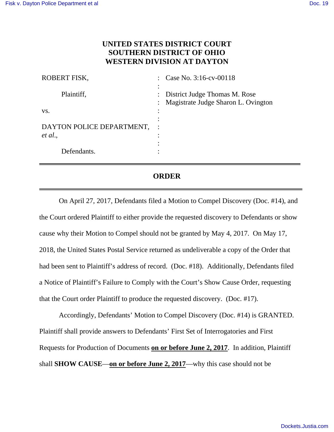## **UNITED STATES DISTRICT COURT SOUTHERN DISTRICT OF OHIO WESTERN DIVISION AT DAYTON**

| ROBERT FISK,                         |                      | Case No. 3:16-cv-00118                                                 |
|--------------------------------------|----------------------|------------------------------------------------------------------------|
| Plaintiff,                           | $\ddot{\phantom{a}}$ | : District Judge Thomas M. Rose<br>Magistrate Judge Sharon L. Ovington |
| VS.                                  | ٠                    |                                                                        |
| DAYTON POLICE DEPARTMENT,<br>et al., | ٠<br>٠               |                                                                        |
| Defendants.                          |                      |                                                                        |

## **ORDER**

On April 27, 2017, Defendants filed a Motion to Compel Discovery (Doc. #14), and the Court ordered Plaintiff to either provide the requested discovery to Defendants or show cause why their Motion to Compel should not be granted by May 4, 2017. On May 17, 2018, the United States Postal Service returned as undeliverable a copy of the Order that had been sent to Plaintiff's address of record. (Doc. #18). Additionally, Defendants filed a Notice of Plaintiff's Failure to Comply with the Court's Show Cause Order, requesting that the Court order Plaintiff to produce the requested discovery. (Doc. #17).

Accordingly, Defendants' Motion to Compel Discovery (Doc. #14) is GRANTED. Plaintiff shall provide answers to Defendants' First Set of Interrogatories and First Requests for Production of Documents **on or before June 2, 2017**. In addition, Plaintiff shall **SHOW CAUSE**—**on or before June 2, 2017**—why this case should not be